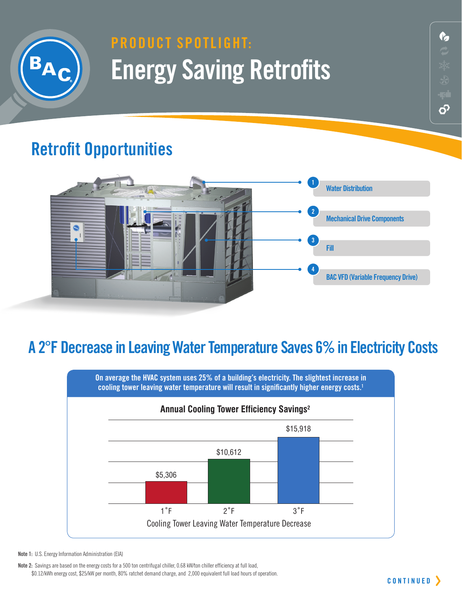

## **product Spotlight: Energy Saving Retrofits**

### **Retrofit Opportunities**



#### **A 2°F Decrease in Leaving Water Temperature Saves 6% in Electricity Costs**



**Note 1:** U.S. Energy Information Administration (EIA)

**Note 2:** Savings are based on the energy costs for a 500 ton centrifugal chiller, 0.68 kW/ton chiller efficiency at full load, \$0.12/kWh energy cost, \$25/kW per month, 80% ratchet demand charge, and 2,000 equivalent full load hours of operation. **12** 

တိ